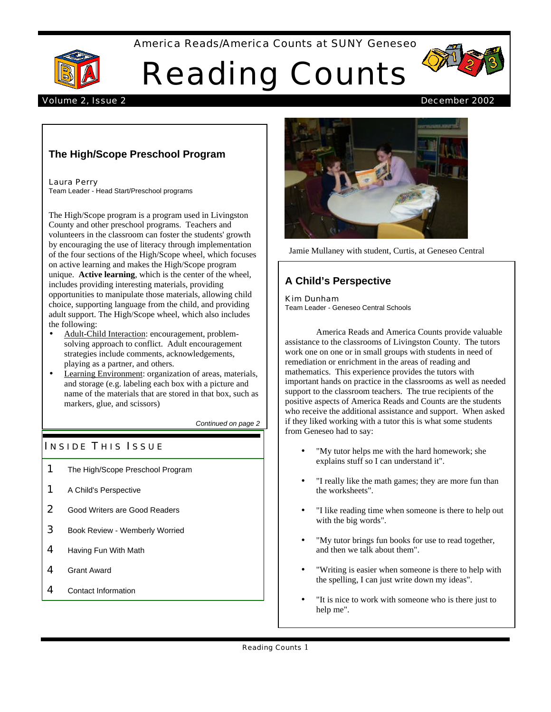## America Reads/America Counts at SUNY Geneseo



# Reading Counts



## Volume 2, Issue 2 December 2002

# **The High/Scope Preschool Program**

Laura Perry Team Leader - Head Start/Preschool programs

The High/Scope program is a program used in Livingston County and other preschool programs. Teachers and volunteers in the classroom can foster the students' growth by encouraging the use of literacy through implementation of the four sections of the High/Scope wheel, which focuses on active learning and makes the High/Scope program unique. **Active learning**, which is the center of the wheel, includes providing interesting materials, providing opportunities to manipulate those materials, allowing child choice, supporting language from the child, and providing adult support. The High/Scope wheel, which also includes the following:

- Adult-Child Interaction: encouragement, problemsolving approach to conflict. Adult encouragement strategies include comments, acknowledgements, playing as a partner, and others.
- Learning Environment: organization of areas, materials, and storage (e.g. labeling each box with a picture and name of the materials that are stored in that box, such as markers, glue, and scissors)

*Continued on page 2*

## **INSIDE THIS ISSUE**

- 1 The High/Scope Preschool Program
- 1 A Child's Perspective
- 2 Good Writers are Good Readers
- 3 Book Review Wemberly Worried
- 4 Having Fun With Math
- 4 Grant Award
- 4 Contact Information



Jamie Mullaney with student, Curtis, at Geneseo Central

# **A Child's Perspective**

Kim Dunham Team Leader - Geneseo Central Schools

America Reads and America Counts provide valuable assistance to the classrooms of Livingston County. The tutors work one on one or in small groups with students in need of remediation or enrichment in the areas of reading and mathematics. This experience provides the tutors with important hands on practice in the classrooms as well as needed support to the classroom teachers. The true recipients of the positive aspects of America Reads and Counts are the students who receive the additional assistance and support. When asked if they liked working with a tutor this is what some students from Geneseo had to say:

- "My tutor helps me with the hard homework; she explains stuff so I can understand it".
- "I really like the math games; they are more fun than the worksheets".
- "I like reading time when someone is there to help out with the big words".
- "My tutor brings fun books for use to read together, and then we talk about them".
- "Writing is easier when someone is there to help with the spelling, I can just write down my ideas".
- "It is nice to work with someone who is there just to help me".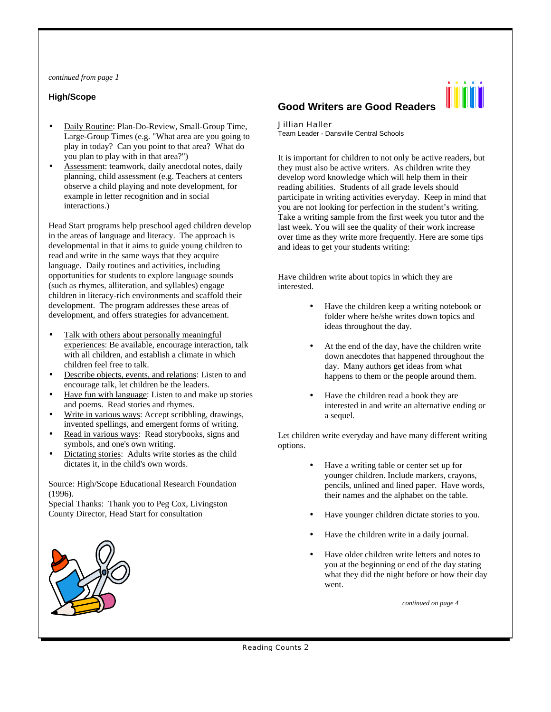*continued from page 1*

#### **High/Scope**

- Daily Routine: Plan-Do-Review, Small-Group Time, Large-Group Times (e.g. "What area are you going to play in today? Can you point to that area? What do you plan to play with in that area?")
- Assessment: teamwork, daily anecdotal notes, daily planning, child assessment (e.g. Teachers at centers observe a child playing and note development, for example in letter recognition and in social interactions.)

Head Start programs help preschool aged children develop in the areas of language and literacy. The approach is developmental in that it aims to guide young children to read and write in the same ways that they acquire language. Daily routines and activities, including opportunities for students to explore language sounds (such as rhymes, alliteration, and syllables) engage children in literacy-rich environments and scaffold their development. The program addresses these areas of development, and offers strategies for advancement.

- Talk with others about personally meaningful experiences: Be available, encourage interaction, talk with all children, and establish a climate in which children feel free to talk.
- Describe objects, events, and relations: Listen to and encourage talk, let children be the leaders.
- Have fun with language: Listen to and make up stories and poems. Read stories and rhymes.
- Write in various ways: Accept scribbling, drawings, invented spellings, and emergent forms of writing.
- Read in various ways: Read storybooks, signs and symbols, and one's own writing.
- Dictating stories: Adults write stories as the child dictates it, in the child's own words.

Source: High/Scope Educational Research Foundation (1996).

Special Thanks: Thank you to Peg Cox, Livingston County Director, Head Start for consultation



#### Jillian Haller

Team Leader - Dansville Central Schools

It is important for children to not only be active readers, but they must also be active writers. As children write they develop word knowledge which will help them in their reading abilities. Students of all grade levels should participate in writing activities everyday. Keep in mind that you are not looking for perfection in the student's writing. Take a writing sample from the first week you tutor and the last week. You will see the quality of their work increase over time as they write more frequently. Here are some tips and ideas to get your students writing:

Have children write about topics in which they are interested.

- Have the children keep a writing notebook or folder where he/she writes down topics and ideas throughout the day.
- At the end of the day, have the children write down anecdotes that happened throughout the day. Many authors get ideas from what happens to them or the people around them.
- Have the children read a book they are interested in and write an alternative ending or a sequel.

Let children write everyday and have many different writing options.

- Have a writing table or center set up for younger children. Include markers, crayons, pencils, unlined and lined paper. Have words, their names and the alphabet on the table.
- Have younger children dictate stories to you.
- Have the children write in a daily journal.
- Have older children write letters and notes to you at the beginning or end of the day stating what they did the night before or how their day went.

*continued on page 4*

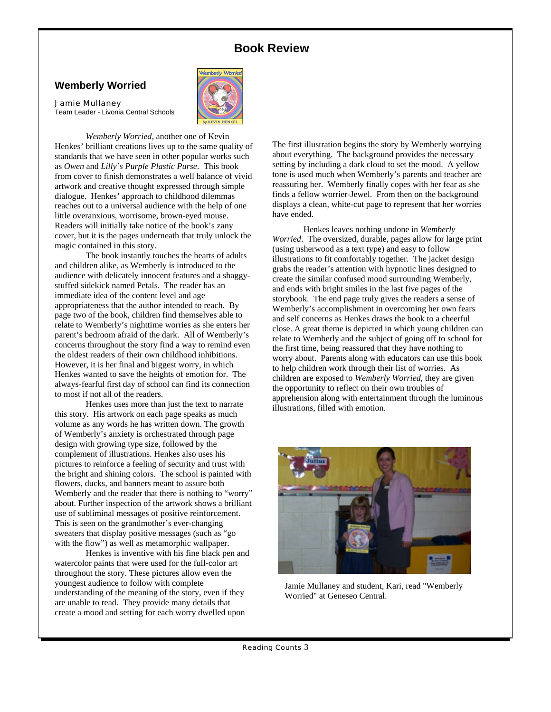# **Book Review**

# **Wemberly Worried**

#### Jamie Mullaney

Team Leader - Livonia Central Schools



*Wemberly Worried,* another one of Kevin Henkes' brilliant creations lives up to the same quality of standards that we have seen in other popular works such as *Owen* and *Lilly's Purple Plastic Purse*. This book from cover to finish demonstrates a well balance of vivid artwork and creative thought expressed through simple dialogue. Henkes' approach to childhood dilemmas reaches out to a universal audience with the help of one little overanxious, worrisome, brown-eyed mouse. Readers will initially take notice of the book's zany cover, but it is the pages underneath that truly unlock the magic contained in this story.

The book instantly touches the hearts of adults and children alike, as Wemberly is introduced to the audience with delicately innocent features and a shaggystuffed sidekick named Petals. The reader has an immediate idea of the content level and age appropriateness that the author intended to reach. By page two of the book, children find themselves able to relate to Wemberly's nighttime worries as she enters her parent's bedroom afraid of the dark. All of Wemberly's concerns throughout the story find a way to remind even the oldest readers of their own childhood inhibitions. However, it is her final and biggest worry, in which Henkes wanted to save the heights of emotion for. The always-fearful first day of school can find its connection to most if not all of the readers.

Henkes uses more than just the text to narrate this story. His artwork on each page speaks as much volume as any words he has written down. The growth of Wemberly's anxiety is orchestrated through page design with growing type size, followed by the complement of illustrations. Henkes also uses his pictures to reinforce a feeling of security and trust with the bright and shining colors. The school is painted with flowers, ducks, and banners meant to assure both Wemberly and the reader that there is nothing to "worry" about. Further inspection of the artwork shows a brilliant use of subliminal messages of positive reinforcement. This is seen on the grandmother's ever-changing sweaters that display positive messages (such as "go with the flow") as well as metamorphic wallpaper.

Henkes is inventive with his fine black pen and watercolor paints that were used for the full-color art throughout the story. These pictures allow even the youngest audience to follow with complete understanding of the meaning of the story, even if they are unable to read. They provide many details that create a mood and setting for each worry dwelled upon

The first illustration begins the story by Wemberly worrying about everything. The background provides the necessary setting by including a dark cloud to set the mood. A yellow tone is used much when Wemberly's parents and teacher are reassuring her. Wemberly finally copes with her fear as she finds a fellow worrier-Jewel. From then on the background displays a clean, white-cut page to represent that her worries have ended.

Henkes leaves nothing undone in *Wemberly Worried*. The oversized, durable, pages allow for large print (using usherwood as a text type) and easy to follow illustrations to fit comfortably together. The jacket design grabs the reader's attention with hypnotic lines designed to create the similar confused mood surrounding Wemberly, and ends with bright smiles in the last five pages of the storybook. The end page truly gives the readers a sense of Wemberly's accomplishment in overcoming her own fears and self concerns as Henkes draws the book to a cheerful close. A great theme is depicted in which young children can relate to Wemberly and the subject of going off to school for the first time, being reassured that they have nothing to worry about. Parents along with educators can use this book to help children work through their list of worries. As children are exposed to *Wemberly Worried*, they are given the opportunity to reflect on their own troubles of apprehension along with entertainment through the luminous illustrations, filled with emotion.



Jamie Mullaney and student, Kari, read "Wemberly Worried" at Geneseo Central.